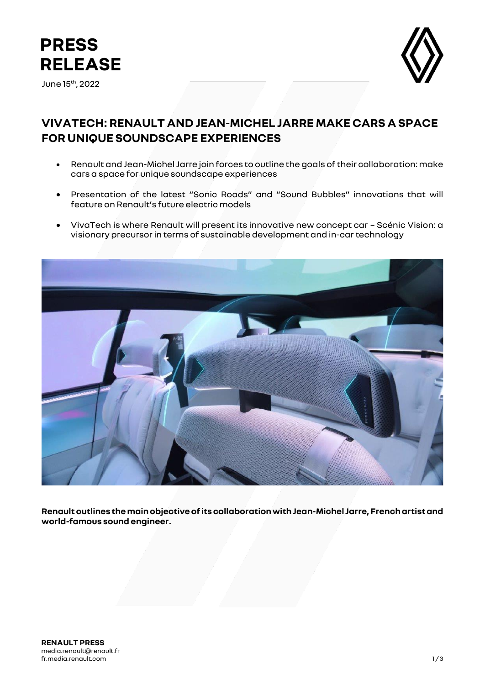

June 15th, 2022



## **VIVATECH: RENAULT AND JEAN-MICHEL JARRE MAKE CARS A SPACE FOR UNIQUE SOUNDSCAPE EXPERIENCES**

- Renault and Jean-Michel Jarre join forces to outline the goals of their collaboration: make cars a space for unique soundscape experiences
- Presentation of the latest "Sonic Roads" and "Sound Bubbles" innovations that will feature on Renault's future electric models
- VivaTech is where Renault will present its innovative new concept car Scénic Vision: a visionary precursor in terms of sustainable development and in-car technology



**Renault outlines the main objective of its collaboration with Jean-Michel Jarre, French artist and world-famous sound engineer.**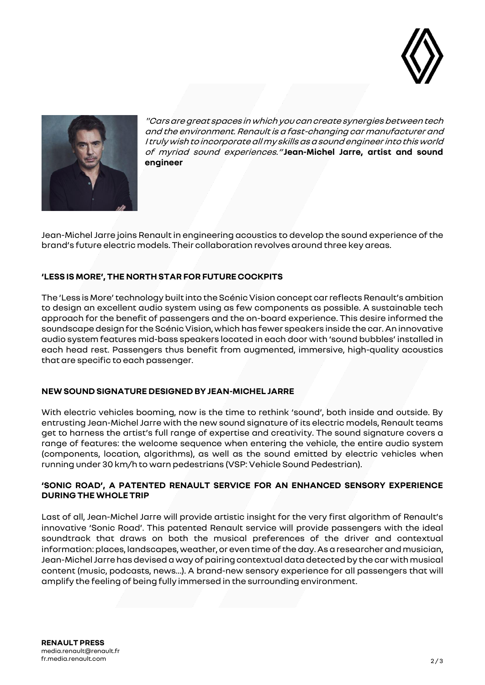



"Cars are great spaces in which you can create synergies between tech and the environment. Renault is a fast-changing car manufacturer and I truly wish to incorporate all my skills as a sound engineer into this world of myriad sound experiences." **Jean-Michel Jarre, artist and sound engineer**

Jean-Michel Jarre joins Renault in engineering acoustics to develop the sound experience of the brand's future electric models. Their collaboration revolves around three key areas.

## **'LESS IS MORE', THE NORTH STAR FOR FUTURE COCKPITS**

The 'Less is More' technology built into the Scénic Vision concept car reflects Renault's ambition to design an excellent audio system using as few components as possible. A sustainable tech approach for the benefit of passengers and the on-board experience. This desire informed the soundscape design for the Scénic Vision, which has fewer speakers inside the car. An innovative audio system features mid-bass speakers located in each door with 'sound bubbles' installed in each head rest. Passengers thus benefit from augmented, immersive, high-quality acoustics that are specific to each passenger.

## **NEW SOUND SIGNATURE DESIGNED BY JEAN-MICHEL JARRE**

With electric vehicles booming, now is the time to rethink 'sound', both inside and outside. By entrusting Jean-Michel Jarre with the new sound signature of its electric models, Renault teams get to harness the artist's full range of expertise and creativity. The sound signature covers a range of features: the welcome sequence when entering the vehicle, the entire audio system (components, location, algorithms), as well as the sound emitted by electric vehicles when running under 30 km/h to warn pedestrians (VSP: Vehicle Sound Pedestrian).

## **'SONIC ROAD', A PATENTED RENAULT SERVICE FOR AN ENHANCED SENSORY EXPERIENCE DURING THE WHOLE TRIP**

Last of all, Jean-Michel Jarre will provide artistic insight for the very first algorithm of Renault's innovative 'Sonic Road'. This patented Renault service will provide passengers with the ideal soundtrack that draws on both the musical preferences of the driver and contextual information: places, landscapes, weather, or even time of the day. As a researcher and musician, Jean-Michel Jarrehas devised a way of pairing contextual data detected by the car with musical content (music, podcasts, news…). A brand-new sensory experience for all passengers that will amplify the feeling of being fully immersed in the surrounding environment.